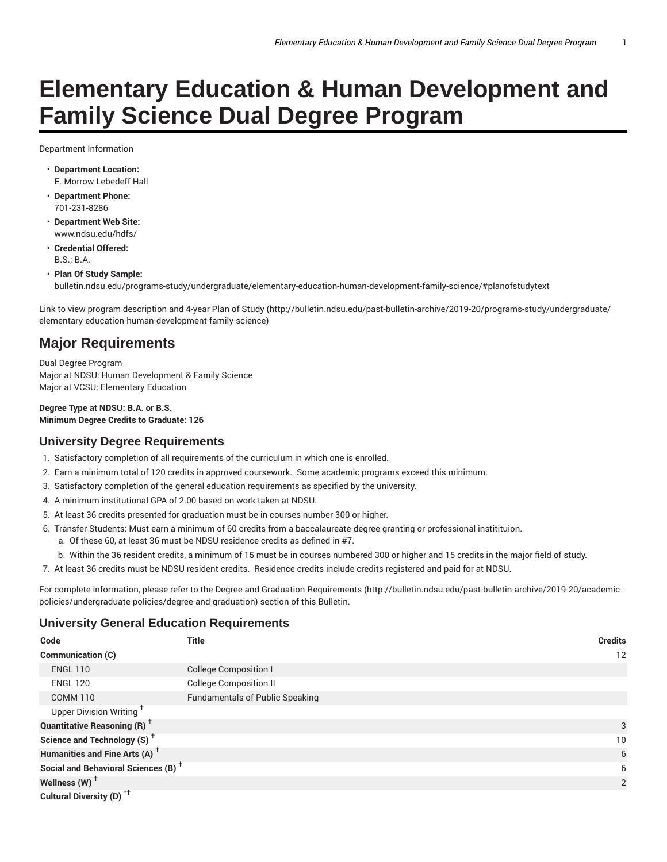# **Elementary Education & Human Development and Family Science Dual Degree Program**

Department Information

- **Department Location:** E. Morrow Lebedeff Hall
- **Department Phone:** 701-231-8286
- **Department Web Site:** www.ndsu.edu/hdfs/
- **Credential Offered:**  $BS - B A$
- **Plan Of Study Sample:** bulletin.ndsu.edu/programs-study/undergraduate/elementary-education-human-development-family-science/#planofstudytext

Link to view program description and 4-year Plan of Study (http://bulletin.ndsu.edu/past-bulletin-archive/2019-20/programs-study/undergraduate/ elementary-education-human-development-family-science)

## **Major Requirements**

Dual Degree Program Major at NDSU: Human Development & Family Science Major at VCSU: Elementary Education

**Degree Type at NDSU: B.A. or B.S. Minimum Degree Credits to Graduate: 126**

### **University Degree Requirements**

- 1. Satisfactory completion of all requirements of the curriculum in which one is enrolled.
- 2. Earn a minimum total of 120 credits in approved coursework. Some academic programs exceed this minimum.
- 3. Satisfactory completion of the general education requirements as specified by the university.
- 4. A minimum institutional GPA of 2.00 based on work taken at NDSU.
- 5. At least 36 credits presented for graduation must be in courses number 300 or higher.
- 6. Transfer Students: Must earn a minimum of 60 credits from a baccalaureate-degree granting or professional institituion.
	- a. Of these 60, at least 36 must be NDSU residence credits as defined in #7.
- b. Within the 36 resident credits, a minimum of 15 must be in courses numbered 300 or higher and 15 credits in the major field of study.
- 7. At least 36 credits must be NDSU resident credits. Residence credits include credits registered and paid for at NDSU.

For complete information, please refer to the Degree and Graduation Requirements (http://bulletin.ndsu.edu/past-bulletin-archive/2019-20/academicpolicies/undergraduate-policies/degree-and-graduation) section of this Bulletin.

#### **University General Education Requirements**

| Code                                            | <b>Title</b>                           | <b>Credits</b> |
|-------------------------------------------------|----------------------------------------|----------------|
| Communication (C)                               |                                        | 12             |
| <b>ENGL 110</b>                                 | <b>College Composition I</b>           |                |
| <b>ENGL 120</b>                                 | <b>College Composition II</b>          |                |
| <b>COMM 110</b>                                 | <b>Fundamentals of Public Speaking</b> |                |
| Upper Division Writing <sup>1</sup>             |                                        |                |
| <b>Quantitative Reasoning (R)</b> <sup>†</sup>  |                                        | 3              |
| Science and Technology (S) <sup>+</sup>         |                                        | 10             |
| Humanities and Fine Arts (A) <sup>+</sup>       |                                        | 6              |
| Social and Behavioral Sciences (B) <sup>+</sup> |                                        | 6              |
| Wellness (W) $^{\dagger}$                       |                                        | $\overline{2}$ |
| Cultural Diversity (D) <sup>*†</sup>            |                                        |                |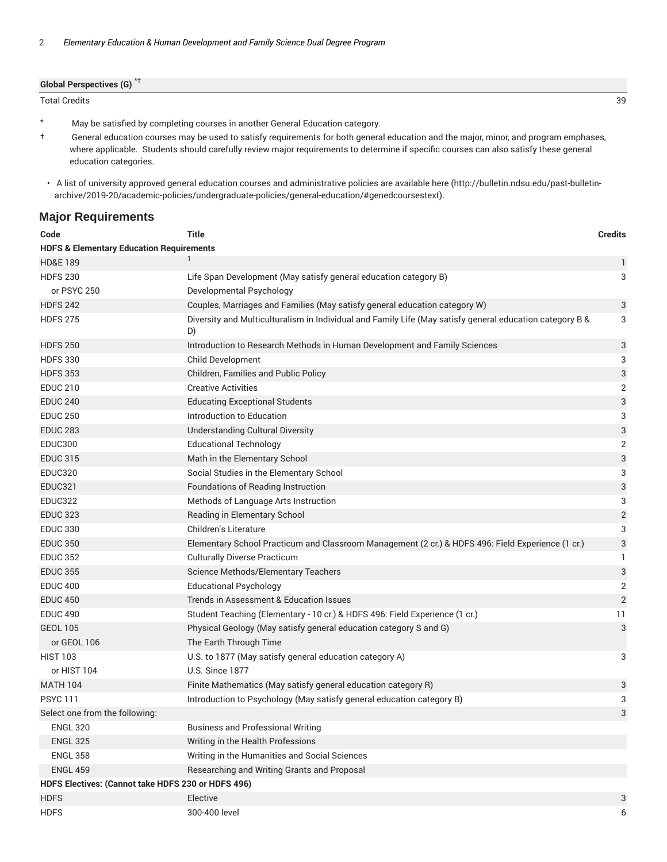| <b>Global Perspectives (G)</b> |    |
|--------------------------------|----|
| <b>Total Credits</b>           | 39 |

\* May be satisfied by completing courses in another General Education category.

† General education courses may be used to satisfy requirements for both general education and the major, minor, and program emphases, where applicable. Students should carefully review major requirements to determine if specific courses can also satisfy these general education categories.

#### **Major Requirements**

| Code                                                | <b>Title</b>                                                                                                   | <b>Credits</b>            |
|-----------------------------------------------------|----------------------------------------------------------------------------------------------------------------|---------------------------|
| <b>HDFS &amp; Elementary Education Requirements</b> |                                                                                                                |                           |
| <b>HD&amp;E 189</b>                                 |                                                                                                                | 1                         |
| <b>HDFS 230</b>                                     | Life Span Development (May satisfy general education category B)                                               | 3                         |
| or PSYC 250                                         | Developmental Psychology                                                                                       |                           |
| <b>HDFS 242</b>                                     | Couples, Marriages and Families (May satisfy general education category W)                                     | 3                         |
| <b>HDFS 275</b>                                     | Diversity and Multiculturalism in Individual and Family Life (May satisfy general education category B &<br>D) | 3                         |
| <b>HDFS 250</b>                                     | Introduction to Research Methods in Human Development and Family Sciences                                      | 3                         |
| <b>HDFS 330</b>                                     | <b>Child Development</b>                                                                                       | 3                         |
| <b>HDFS 353</b>                                     | Children, Families and Public Policy                                                                           | 3                         |
| <b>EDUC 210</b>                                     | <b>Creative Activities</b>                                                                                     | $\overline{2}$            |
| <b>EDUC 240</b>                                     | <b>Educating Exceptional Students</b>                                                                          | 3                         |
| <b>EDUC 250</b>                                     | Introduction to Education                                                                                      | 3                         |
| <b>EDUC 283</b>                                     | <b>Understanding Cultural Diversity</b>                                                                        | 3                         |
| <b>EDUC300</b>                                      | <b>Educational Technology</b>                                                                                  | $\overline{2}$            |
| <b>EDUC 315</b>                                     | Math in the Elementary School                                                                                  | 3                         |
| <b>EDUC320</b>                                      | Social Studies in the Elementary School                                                                        | 3                         |
| <b>EDUC321</b>                                      | Foundations of Reading Instruction                                                                             | $\ensuremath{\mathsf{3}}$ |
| <b>EDUC322</b>                                      | Methods of Language Arts Instruction                                                                           | 3                         |
| <b>EDUC 323</b>                                     | Reading in Elementary School                                                                                   | $\sqrt{2}$                |
| <b>EDUC 330</b>                                     | Children's Literature                                                                                          | 3                         |
| <b>EDUC 350</b>                                     | Elementary School Practicum and Classroom Management (2 cr.) & HDFS 496: Field Experience (1 cr.)              | $\sqrt{3}$                |
| <b>EDUC 352</b>                                     | <b>Culturally Diverse Practicum</b>                                                                            | 1                         |
| <b>EDUC 355</b>                                     | Science Methods/Elementary Teachers                                                                            | 3                         |
| <b>EDUC 400</b>                                     | <b>Educational Psychology</b>                                                                                  | $\overline{2}$            |
| <b>EDUC 450</b>                                     | Trends in Assessment & Education Issues                                                                        | $\overline{2}$            |
| <b>EDUC 490</b>                                     | Student Teaching (Elementary - 10 cr.) & HDFS 496: Field Experience (1 cr.)                                    | 11                        |
| <b>GEOL 105</b>                                     | Physical Geology (May satisfy general education category S and G)                                              | 3                         |
| or GEOL 106                                         | The Earth Through Time                                                                                         |                           |
| <b>HIST 103</b>                                     | U.S. to 1877 (May satisfy general education category A)                                                        | 3                         |
| or HIST 104                                         | <b>U.S. Since 1877</b>                                                                                         |                           |
| <b>MATH 104</b>                                     | Finite Mathematics (May satisfy general education category R)                                                  | 3                         |
| <b>PSYC111</b>                                      | Introduction to Psychology (May satisfy general education category B)                                          | 3                         |
| Select one from the following:                      |                                                                                                                | 3                         |
| <b>ENGL 320</b>                                     | <b>Business and Professional Writing</b>                                                                       |                           |
| <b>ENGL 325</b>                                     | Writing in the Health Professions                                                                              |                           |
| <b>ENGL 358</b>                                     | Writing in the Humanities and Social Sciences                                                                  |                           |
| <b>ENGL 459</b>                                     | Researching and Writing Grants and Proposal                                                                    |                           |
| HDFS Electives: (Cannot take HDFS 230 or HDFS 496)  |                                                                                                                |                           |
| <b>HDFS</b>                                         | Elective                                                                                                       | 3                         |
| <b>HDFS</b>                                         | 300-400 level                                                                                                  | 6                         |

<sup>•</sup> A list of university approved general education courses and administrative policies are available here (http://bulletin.ndsu.edu/past-bulletinarchive/2019-20/academic-policies/undergraduate-policies/general-education/#genedcoursestext).